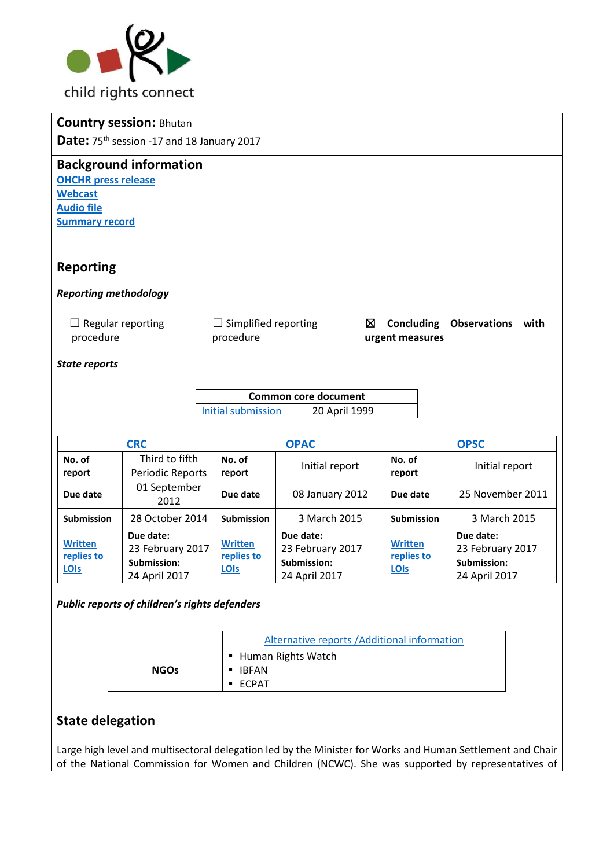

## **Country session:** Bhutan

Date: 75<sup>th</sup> session -17 and 18 January 2017

#### **Background information**

**[OHCHR press release](http://www.ohchr.org/EN/NewsEvents/Pages/DisplayNews.aspx?NewsID=21634&LangID=E) [Webcast](http://webtv.un.org/search/consideration-of-bhutan-2198th-meeting-75th-session-committee-on-the-rights-of-the-child/5438251050001?term=committee%20on%20the%20rights%20of%20the%20child&languages=&sort=date) [Audio file](http://conf.unog.ch/digitalrecordings/) Summary [record](http://tbinternet.ohchr.org/_layouts/treatybodyexternal/SessionDetails1.aspx?SessionID=1100&Lang=en)**

## **Reporting**

#### *Reporting methodology*

| $\Box$ Regular reporting | $\Box$ Si |
|--------------------------|-----------|
| procedure                | proc      |

implified reporting cedure

☒ **Concluding Observations with urgent measures**

#### *State reports*

**Common core document**  [Initial submission](http://tbinternet.ohchr.org/_layouts/treatybodyexternal/Download.aspx?symbolno=HRI%2fCORE%2fCMR%2f2013&Lang=en) 20 April 1999

| <b>CRC</b>                           |                                                               | <b>OPAC</b>                          |                                                               | <b>OPSC</b>                          |                                                               |
|--------------------------------------|---------------------------------------------------------------|--------------------------------------|---------------------------------------------------------------|--------------------------------------|---------------------------------------------------------------|
| No. of<br>report                     | Third to fifth<br>Periodic Reports                            | No. of<br>report                     | Initial report                                                | No. of<br>report                     | Initial report                                                |
| Due date                             | 01 September<br>2012                                          | Due date                             | 08 January 2012                                               | Due date                             | 25 November 2011                                              |
| Submission                           | 28 October 2014                                               | <b>Submission</b>                    | 3 March 2015                                                  | <b>Submission</b>                    | 3 March 2015                                                  |
| <b>Written</b><br>replies to<br>LOIS | Due date:<br>23 February 2017<br>Submission:<br>24 April 2017 | <b>Written</b><br>replies to<br>LOIS | Due date:<br>23 February 2017<br>Submission:<br>24 April 2017 | <b>Written</b><br>replies to<br>LOIS | Due date:<br>23 February 2017<br>Submission:<br>24 April 2017 |

*Public reports of children's rights defenders* 

|             | Alternative reports / Additional information            |  |
|-------------|---------------------------------------------------------|--|
| <b>NGOs</b> | ■ Human Rights Watch<br>■ IBFAN<br>$\blacksquare$ FCPAT |  |

# **State delegation**

Large high level and multisectoral delegation led by the Minister for Works and Human Settlement and Chair of the National Commission for Women and Children (NCWC). She was supported by representatives of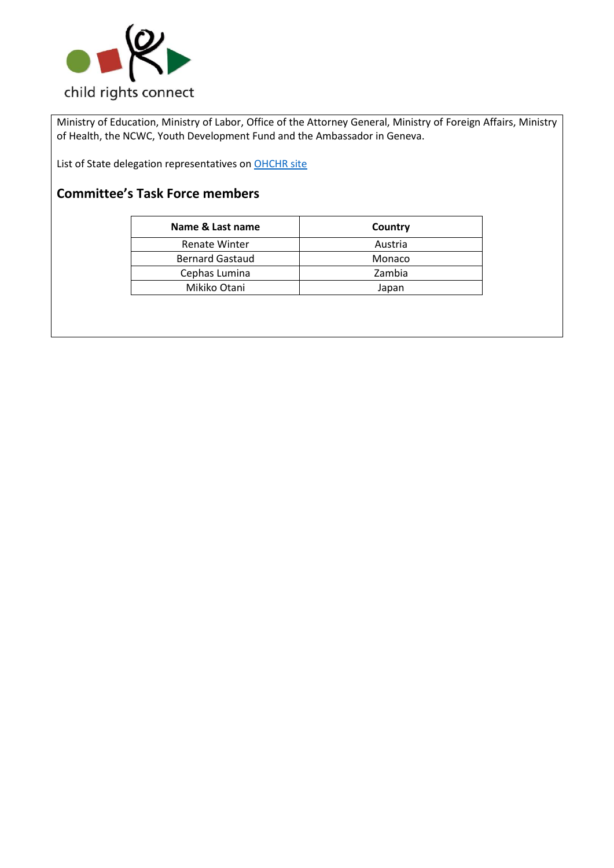

Ministry of Education, Ministry of Labor, Office of the Attorney General, Ministry of Foreign Affairs, Ministry of Health, the NCWC, Youth Development Fund and the Ambassador in Geneva.

List of State delegation representatives on OHCHR site

# **Committee's Task Force members**

| Name & Last name       | Country |
|------------------------|---------|
| <b>Renate Winter</b>   | Austria |
| <b>Bernard Gastaud</b> | Monaco  |
| Cephas Lumina          | Zambia  |
| Mikiko Otani           | Japan   |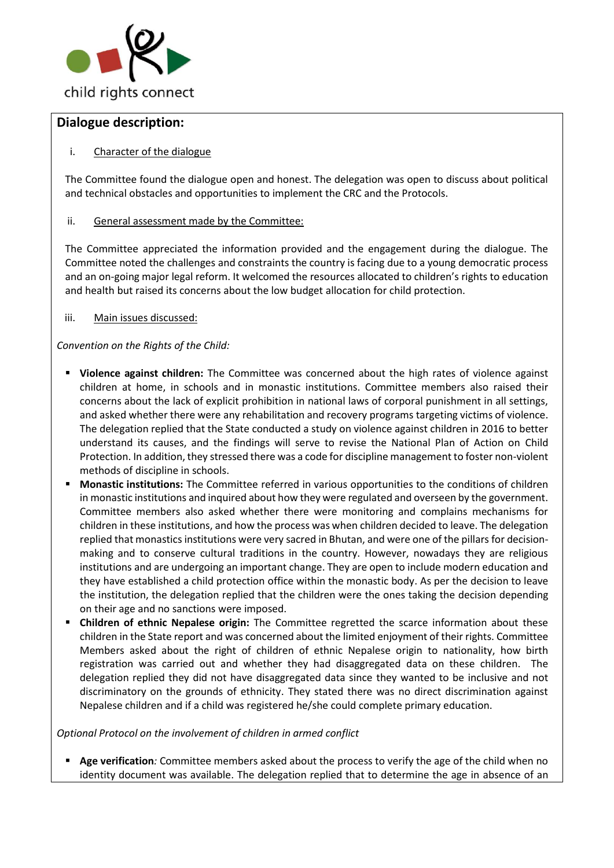

### **Dialogue description:**

#### i. Character of the dialogue

The Committee found the dialogue open and honest. The delegation was open to discuss about political and technical obstacles and opportunities to implement the CRC and the Protocols.

#### ii. General assessment made by the Committee:

The Committee appreciated the information provided and the engagement during the dialogue. The Committee noted the challenges and constraints the country is facing due to a young democratic process and an on-going major legal reform. It welcomed the resources allocated to children's rights to education and health but raised its concerns about the low budget allocation for child protection.

iii. Main issues discussed:

*Convention on the Rights of the Child:*

- **EXTED Violence against children:** The Committee was concerned about the high rates of violence against children at home, in schools and in monastic institutions. Committee members also raised their concerns about the lack of explicit prohibition in national laws of corporal punishment in all settings, and asked whether there were any rehabilitation and recovery programs targeting victims of violence. The delegation replied that the State conducted a study on violence against children in 2016 to better understand its causes, and the findings will serve to revise the National Plan of Action on Child Protection. In addition, they stressed there was a code for discipline management to foster non-violent methods of discipline in schools.
- **Monastic institutions:** The Committee referred in various opportunities to the conditions of children in monastic institutions and inquired about how they were regulated and overseen by the government. Committee members also asked whether there were monitoring and complains mechanisms for children in these institutions, and how the process was when children decided to leave. The delegation replied that monastics institutions were very sacred in Bhutan, and were one of the pillars for decisionmaking and to conserve cultural traditions in the country. However, nowadays they are religious institutions and are undergoing an important change. They are open to include modern education and they have established a child protection office within the monastic body. As per the decision to leave the institution, the delegation replied that the children were the ones taking the decision depending on their age and no sanctions were imposed.
- **Children of ethnic Nepalese origin:** The Committee regretted the scarce information about these children in the State report and was concerned about the limited enjoyment of their rights. Committee Members asked about the right of children of ethnic Nepalese origin to nationality, how birth registration was carried out and whether they had disaggregated data on these children. The delegation replied they did not have disaggregated data since they wanted to be inclusive and not discriminatory on the grounds of ethnicity. They stated there was no direct discrimination against Nepalese children and if a child was registered he/she could complete primary education.

*Optional Protocol on the involvement of children in armed conflict*

Age verification: Committee members asked about the process to verify the age of the child when no identity document was available. The delegation replied that to determine the age in absence of an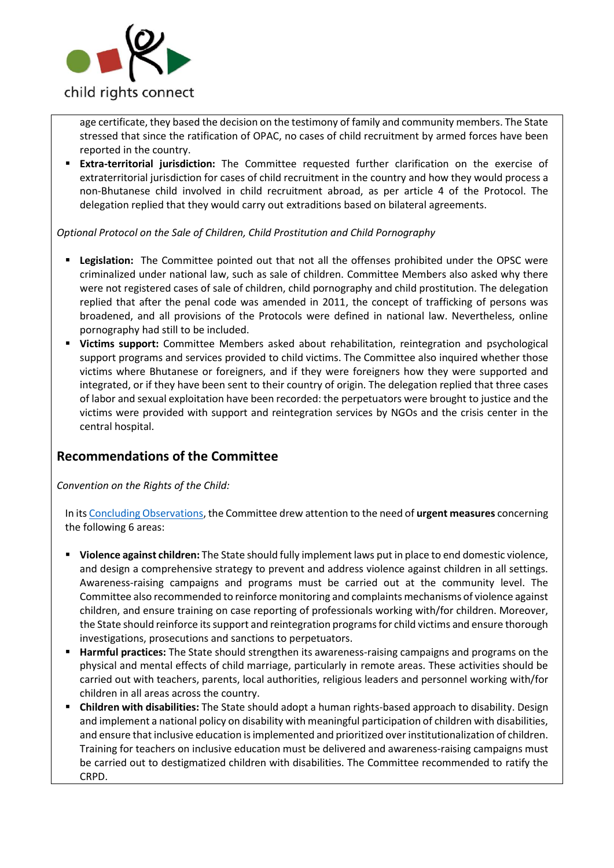

age certificate, they based the decision on the testimony of family and community members. The State stressed that since the ratification of OPAC, no cases of child recruitment by armed forces have been reported in the country.

▪ **Extra-territorial jurisdiction:** The Committee requested further clarification on the exercise of extraterritorial jurisdiction for cases of child recruitment in the country and how they would process a non-Bhutanese child involved in child recruitment abroad, as per article 4 of the Protocol. The delegation replied that they would carry out extraditions based on bilateral agreements.

*Optional Protocol on the Sale of Children, Child Prostitution and Child Pornography*

- **Legislation:** The Committee pointed out that not all the offenses prohibited under the OPSC were criminalized under national law, such as sale of children. Committee Members also asked why there were not registered cases of sale of children, child pornography and child prostitution. The delegation replied that after the penal code was amended in 2011, the concept of trafficking of persons was broadened, and all provisions of the Protocols were defined in national law. Nevertheless, online pornography had still to be included.
- **Victims support:** Committee Members asked about rehabilitation, reintegration and psychological support programs and services provided to child victims. The Committee also inquired whether those victims where Bhutanese or foreigners, and if they were foreigners how they were supported and integrated, or if they have been sent to their country of origin. The delegation replied that three cases of labor and sexual exploitation have been recorded: the perpetuators were brought to justice and the victims were provided with support and reintegration services by NGOs and the crisis center in the central hospital.

# **Recommendations of the Committee**

*Convention on the Rights of the Child:*

In it[s Concluding Observations,](http://tbinternet.ohchr.org/_layouts/treatybodyexternal/Download.aspx?symbolno=CRC%2fC%2fMWI%2fCO%2f3-5&Lang=en) the Committee drew attention to the need of **urgent measures** concerning the following 6 areas:

- **Violence against children:** The State should fully implement laws put in place to end domestic violence, and design a comprehensive strategy to prevent and address violence against children in all settings. Awareness-raising campaigns and programs must be carried out at the community level. The Committee also recommended to reinforce monitoring and complaints mechanisms of violence against children, and ensure training on case reporting of professionals working with/for children. Moreover, the State should reinforce its support and reintegration programs for child victims and ensure thorough investigations, prosecutions and sanctions to perpetuators.
- **Harmful practices:** The State should strengthen its awareness-raising campaigns and programs on the physical and mental effects of child marriage, particularly in remote areas. These activities should be carried out with teachers, parents, local authorities, religious leaders and personnel working with/for children in all areas across the country.
- **Children with disabilities:** The State should adopt a human rights-based approach to disability. Design and implement a national policy on disability with meaningful participation of children with disabilities, and ensure that inclusive education isimplemented and prioritized over institutionalization of children. Training for teachers on inclusive education must be delivered and awareness-raising campaigns must be carried out to destigmatized children with disabilities. The Committee recommended to ratify the CRPD.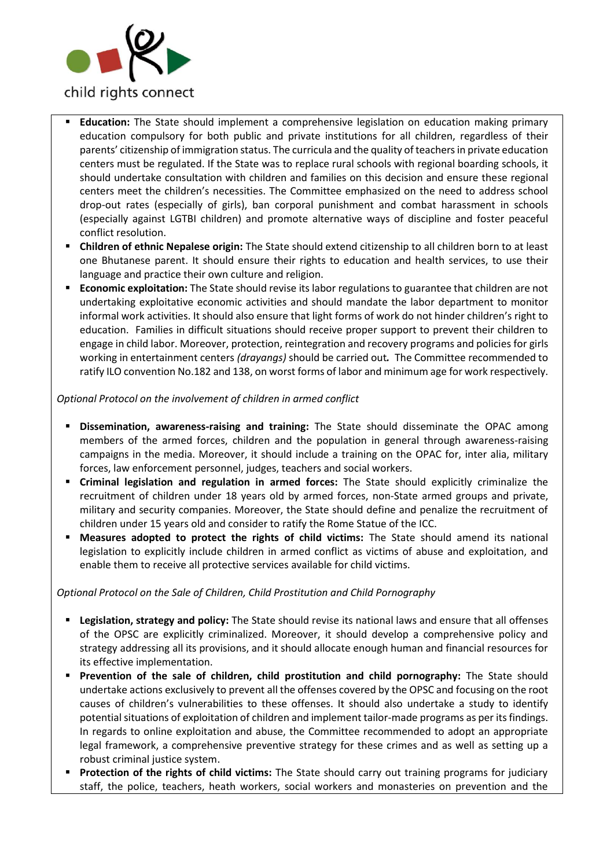

- **Education:** The State should implement a comprehensive legislation on education making primary education compulsory for both public and private institutions for all children, regardless of their parents' citizenship of immigration status. The curricula and the quality of teachers in private education centers must be regulated. If the State was to replace rural schools with regional boarding schools, it should undertake consultation with children and families on this decision and ensure these regional centers meet the children's necessities. The Committee emphasized on the need to address school drop-out rates (especially of girls), ban corporal punishment and combat harassment in schools (especially against LGTBI children) and promote alternative ways of discipline and foster peaceful conflict resolution.
- **Children of ethnic Nepalese origin:** The State should extend citizenship to all children born to at least one Bhutanese parent. It should ensure their rights to education and health services, to use their language and practice their own culture and religion.
- **Economic exploitation:** The State should revise its labor regulations to guarantee that children are not undertaking exploitative economic activities and should mandate the labor department to monitor informal work activities. It should also ensure that light forms of work do not hinder children's right to education. Families in difficult situations should receive proper support to prevent their children to engage in child labor. Moreover, protection, reintegration and recovery programs and policies for girls working in entertainment centers *(drayangs)* should be carried out*.* The Committee recommended to ratify ILO convention No.182 and 138, on worst forms of labor and minimum age for work respectively.

#### *Optional Protocol on the involvement of children in armed conflict*

- **Dissemination, awareness-raising and training:** The State should disseminate the OPAC among members of the armed forces, children and the population in general through awareness-raising campaigns in the media. Moreover, it should include a training on the OPAC for, inter alia, military forces, law enforcement personnel, judges, teachers and social workers.
- **Criminal legislation and regulation in armed forces:** The State should explicitly criminalize the recruitment of children under 18 years old by armed forces, non-State armed groups and private, military and security companies. Moreover, the State should define and penalize the recruitment of children under 15 years old and consider to ratify the Rome Statue of the ICC.
- **Measures adopted to protect the rights of child victims:** The State should amend its national legislation to explicitly include children in armed conflict as victims of abuse and exploitation, and enable them to receive all protective services available for child victims.

#### *Optional Protocol on the Sale of Children, Child Prostitution and Child Pornography*

- Legislation, strategy and policy: The State should revise its national laws and ensure that all offenses of the OPSC are explicitly criminalized. Moreover, it should develop a comprehensive policy and strategy addressing all its provisions, and it should allocate enough human and financial resources for its effective implementation.
- **Prevention of the sale of children, child prostitution and child pornography:** The State should undertake actions exclusively to prevent all the offenses covered by the OPSC and focusing on the root causes of children's vulnerabilities to these offenses. It should also undertake a study to identify potential situations of exploitation of children and implement tailor-made programs as per its findings. In regards to online exploitation and abuse, the Committee recommended to adopt an appropriate legal framework, a comprehensive preventive strategy for these crimes and as well as setting up a robust criminal justice system.
- Protection of the rights of child victims: The State should carry out training programs for judiciary staff, the police, teachers, heath workers, social workers and monasteries on prevention and the